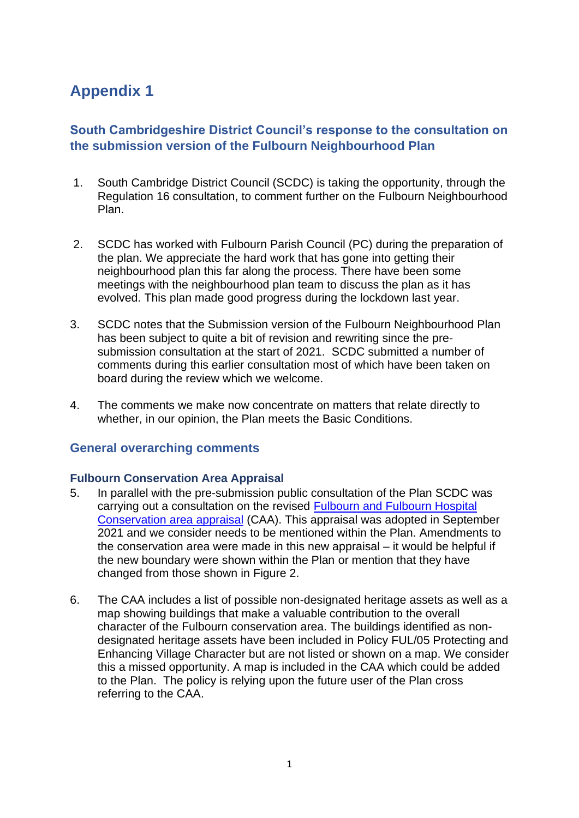# **Appendix 1**

# **South Cambridgeshire District Council's response to the consultation on the submission version of the Fulbourn Neighbourhood Plan**

- 1. South Cambridge District Council (SCDC) is taking the opportunity, through the Regulation 16 consultation, to comment further on the Fulbourn Neighbourhood Plan.
- 2. SCDC has worked with Fulbourn Parish Council (PC) during the preparation of the plan. We appreciate the hard work that has gone into getting their neighbourhood plan this far along the process. There have been some meetings with the neighbourhood plan team to discuss the plan as it has evolved. This plan made good progress during the lockdown last year.
- 3. SCDC notes that the Submission version of the Fulbourn Neighbourhood Plan has been subject to quite a bit of revision and rewriting since the presubmission consultation at the start of 2021. SCDC submitted a number of comments during this earlier consultation most of which have been taken on board during the review which we welcome.
- 4. The comments we make now concentrate on matters that relate directly to whether, in our opinion, the Plan meets the Basic Conditions.

## **General overarching comments**

#### **[Fulbourn Conservation Area Appraisal](https://www.greatercambridgeplanning.org/media/1649/fulbourn-and-fulbourn-hospital-draft-conservation-area-appraisal-2021.pdf)**

- 5. In parallel with the pre-submission public consultation of the Plan SCDC was carrying out a consultation on the revised [Fulbourn and Fulbourn Hospital](https://www.greatercambridgeplanning.org/media/2337/adopted-fulbourn-and-fulbourn-hospital-conservation-area-appraisal-2021_.pdf)  [Conservation area appraisal](https://www.greatercambridgeplanning.org/media/2337/adopted-fulbourn-and-fulbourn-hospital-conservation-area-appraisal-2021_.pdf) (CAA). This appraisal was adopted in September 2021 and we consider needs to be mentioned within the Plan. Amendments to the conservation area were made in this new appraisal – it would be helpful if the new boundary were shown within the Plan or mention that they have changed from those shown in Figure 2.
- 6. The CAA includes a list of possible non-designated heritage assets as well as a map showing buildings that make a valuable contribution to the overall character of the Fulbourn conservation area. The buildings identified as nondesignated heritage assets have been included in Policy FUL/05 Protecting and Enhancing Village Character but are not listed or shown on a map. We consider this a missed opportunity. A map is included in the CAA which could be added to the Plan. The policy is relying upon the future user of the Plan cross referring to the CAA.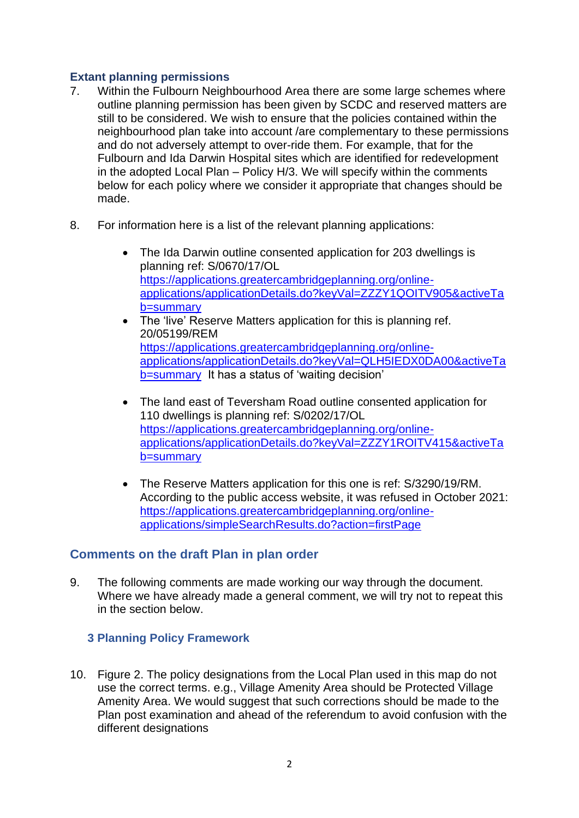## **Extant planning permissions**

- 7. Within the Fulbourn Neighbourhood Area there are some large schemes where outline planning permission has been given by SCDC and reserved matters are still to be considered. We wish to ensure that the policies contained within the neighbourhood plan take into account /are complementary to these permissions and do not adversely attempt to over-ride them. For example, that for the Fulbourn and Ida Darwin Hospital sites which are identified for redevelopment in the adopted Local Plan – Policy H/3. We will specify within the comments below for each policy where we consider it appropriate that changes should be made.
- 8. For information here is a list of the relevant planning applications:
	- The Ida Darwin outline consented application for 203 dwellings is planning ref: S/0670/17/OL [https://applications.greatercambridgeplanning.org/online](https://applications.greatercambridgeplanning.org/online-applications/applicationDetails.do?keyVal=ZZZY1QOITV905&activeTab=summary)[applications/applicationDetails.do?keyVal=ZZZY1QOITV905&activeTa](https://applications.greatercambridgeplanning.org/online-applications/applicationDetails.do?keyVal=ZZZY1QOITV905&activeTab=summary) [b=summary](https://applications.greatercambridgeplanning.org/online-applications/applicationDetails.do?keyVal=ZZZY1QOITV905&activeTab=summary)
	- The 'live' Reserve Matters application for this is planning ref. 20/05199/REM [https://applications.greatercambridgeplanning.org/online](https://applications.greatercambridgeplanning.org/online-applications/applicationDetails.do?keyVal=QLH5IEDX0DA00&activeTab=summary)[applications/applicationDetails.do?keyVal=QLH5IEDX0DA00&activeTa](https://applications.greatercambridgeplanning.org/online-applications/applicationDetails.do?keyVal=QLH5IEDX0DA00&activeTab=summary) [b=summary](https://applications.greatercambridgeplanning.org/online-applications/applicationDetails.do?keyVal=QLH5IEDX0DA00&activeTab=summary) It has a status of 'waiting decision'
	- The land east of Teversham Road outline consented application for 110 dwellings is planning ref: S/0202/17/OL [https://applications.greatercambridgeplanning.org/online](https://applications.greatercambridgeplanning.org/online-applications/applicationDetails.do?keyVal=ZZZY1ROITV415&activeTab=summary)[applications/applicationDetails.do?keyVal=ZZZY1ROITV415&activeTa](https://applications.greatercambridgeplanning.org/online-applications/applicationDetails.do?keyVal=ZZZY1ROITV415&activeTab=summary) [b=summary](https://applications.greatercambridgeplanning.org/online-applications/applicationDetails.do?keyVal=ZZZY1ROITV415&activeTab=summary)
	- The Reserve Matters application for this one is ref: S/3290/19/RM. According to the public access website, it was refused in October 2021: [https://applications.greatercambridgeplanning.org/online](https://applications.greatercambridgeplanning.org/online-applications/simpleSearchResults.do?action=firstPage)[applications/simpleSearchResults.do?action=firstPage](https://applications.greatercambridgeplanning.org/online-applications/simpleSearchResults.do?action=firstPage)

# **Comments on the draft Plan in plan order**

9. The following comments are made working our way through the document. Where we have already made a general comment, we will try not to repeat this in the section below.

## **3 Planning Policy Framework**

10. Figure 2. The policy designations from the Local Plan used in this map do not use the correct terms. e.g., Village Amenity Area should be Protected Village Amenity Area. We would suggest that such corrections should be made to the Plan post examination and ahead of the referendum to avoid confusion with the different designations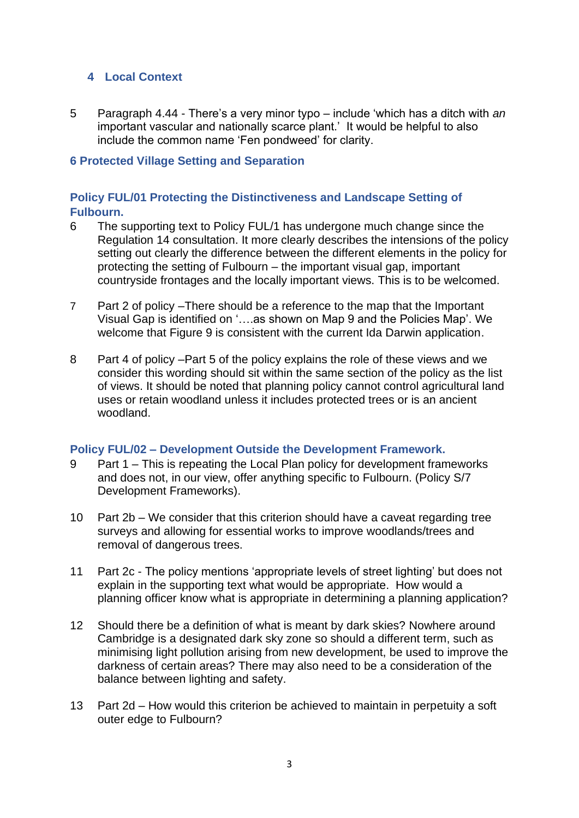## **4 Local Context**

5 Paragraph 4.44 - There's a very minor typo – include 'which has a ditch with *an* important vascular and nationally scarce plant.' It would be helpful to also include the common name 'Fen pondweed' for clarity.

#### **6 Protected Village Setting and Separation**

## **Policy FUL/01 Protecting the Distinctiveness and Landscape Setting of Fulbourn.**

- 6 The supporting text to Policy FUL/1 has undergone much change since the Regulation 14 consultation. It more clearly describes the intensions of the policy setting out clearly the difference between the different elements in the policy for protecting the setting of Fulbourn – the important visual gap, important countryside frontages and the locally important views. This is to be welcomed.
- 7 Part 2 of policy –There should be a reference to the map that the Important Visual Gap is identified on '….as shown on Map 9 and the Policies Map'. We welcome that Figure 9 is consistent with the current Ida Darwin application.
- 8 Part 4 of policy –Part 5 of the policy explains the role of these views and we consider this wording should sit within the same section of the policy as the list of views. It should be noted that planning policy cannot control agricultural land uses or retain woodland unless it includes protected trees or is an ancient woodland.

#### **Policy FUL/02 – Development Outside the Development Framework.**

- 9 Part 1 This is repeating the Local Plan policy for development frameworks and does not, in our view, offer anything specific to Fulbourn. (Policy S/7 Development Frameworks).
- 10 Part 2b We consider that this criterion should have a caveat regarding tree surveys and allowing for essential works to improve woodlands/trees and removal of dangerous trees.
- 11 Part 2c The policy mentions 'appropriate levels of street lighting' but does not explain in the supporting text what would be appropriate. How would a planning officer know what is appropriate in determining a planning application?
- 12 Should there be a definition of what is meant by dark skies? Nowhere around Cambridge is a designated dark sky zone so should a different term, such as minimising light pollution arising from new development, be used to improve the darkness of certain areas? There may also need to be a consideration of the balance between lighting and safety.
- 13 Part 2d How would this criterion be achieved to maintain in perpetuity a soft outer edge to Fulbourn?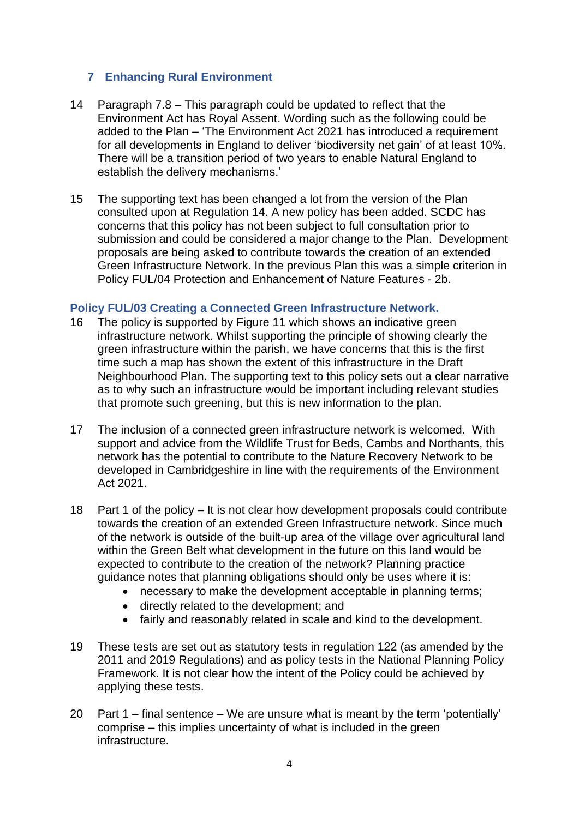## **7 Enhancing Rural Environment**

- 14 Paragraph 7.8 This paragraph could be updated to reflect that the Environment Act has Royal Assent. Wording such as the following could be added to the Plan – 'The Environment Act 2021 has introduced a requirement for all developments in England to deliver 'biodiversity net gain' of at least 10%. There will be a transition period of two years to enable Natural England to establish the delivery mechanisms.'
- 15 The supporting text has been changed a lot from the version of the Plan consulted upon at Regulation 14. A new policy has been added. SCDC has concerns that this policy has not been subject to full consultation prior to submission and could be considered a major change to the Plan. Development proposals are being asked to contribute towards the creation of an extended Green Infrastructure Network. In the previous Plan this was a simple criterion in Policy FUL/04 Protection and Enhancement of Nature Features - 2b.

## **Policy FUL/03 Creating a Connected Green Infrastructure Network.**

- 16 The policy is supported by Figure 11 which shows an indicative green infrastructure network. Whilst supporting the principle of showing clearly the green infrastructure within the parish, we have concerns that this is the first time such a map has shown the extent of this infrastructure in the Draft Neighbourhood Plan. The supporting text to this policy sets out a clear narrative as to why such an infrastructure would be important including relevant studies that promote such greening, but this is new information to the plan.
- 17 The inclusion of a connected green infrastructure network is welcomed. With support and advice from the Wildlife Trust for Beds, Cambs and Northants, this network has the potential to contribute to the Nature Recovery Network to be developed in Cambridgeshire in line with the requirements of the Environment Act 2021.
- 18 Part 1 of the policy It is not clear how development proposals could contribute towards the creation of an extended Green Infrastructure network. Since much of the network is outside of the built-up area of the village over agricultural land within the Green Belt what development in the future on this land would be expected to contribute to the creation of the network? Planning practice guidance notes that planning obligations should only be uses where it is:
	- necessary to make the development acceptable in planning terms;
	- directly related to the development; and
	- fairly and reasonably related in scale and kind to the development.
- 19 These tests are set out as statutory tests in regulation 122 (as amended by the 2011 and 2019 Regulations) and as policy tests in the National Planning Policy Framework. It is not clear how the intent of the Policy could be achieved by applying these tests.
- 20 Part  $1$  final sentence We are unsure what is meant by the term 'potentially' comprise – this implies uncertainty of what is included in the green infrastructure.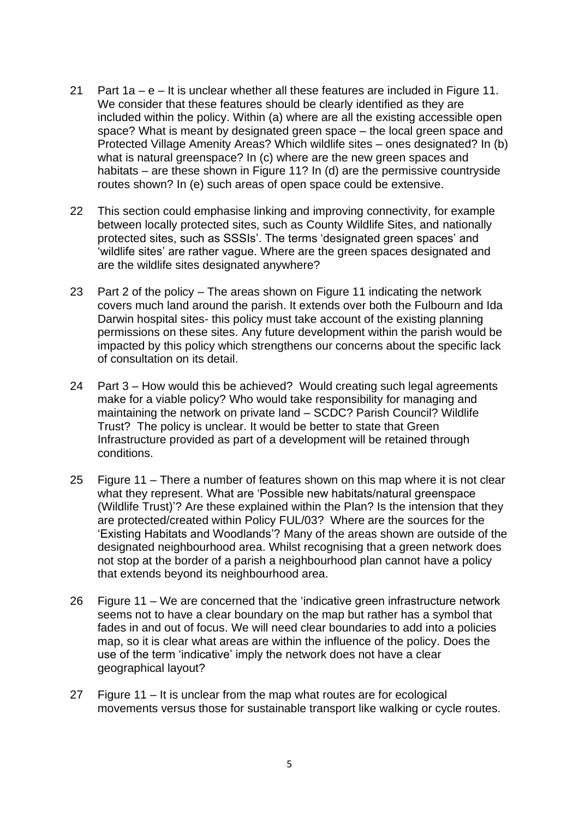- 21 Part 1a e It is unclear whether all these features are included in Figure 11. We consider that these features should be clearly identified as they are included within the policy. Within (a) where are all the existing accessible open space? What is meant by designated green space – the local green space and Protected Village Amenity Areas? Which wildlife sites – ones designated? In (b) what is natural greenspace? In (c) where are the new green spaces and habitats – are these shown in Figure 11? In (d) are the permissive countryside routes shown? In (e) such areas of open space could be extensive.
- 22 This section could emphasise linking and improving connectivity, for example between locally protected sites, such as County Wildlife Sites, and nationally protected sites, such as SSSIs'. The terms 'designated green spaces' and 'wildlife sites' are rather vague. Where are the green spaces designated and are the wildlife sites designated anywhere?
- 23 Part 2 of the policy The areas shown on Figure 11 indicating the network covers much land around the parish. It extends over both the Fulbourn and Ida Darwin hospital sites- this policy must take account of the existing planning permissions on these sites. Any future development within the parish would be impacted by this policy which strengthens our concerns about the specific lack of consultation on its detail.
- 24 Part 3 How would this be achieved? Would creating such legal agreements make for a viable policy? Who would take responsibility for managing and maintaining the network on private land – SCDC? Parish Council? Wildlife Trust? The policy is unclear. It would be better to state that Green Infrastructure provided as part of a development will be retained through conditions.
- 25 Figure 11 There a number of features shown on this map where it is not clear what they represent. What are 'Possible new habitats/natural greenspace (Wildlife Trust)'? Are these explained within the Plan? Is the intension that they are protected/created within Policy FUL/03? Where are the sources for the 'Existing Habitats and Woodlands'? Many of the areas shown are outside of the designated neighbourhood area. Whilst recognising that a green network does not stop at the border of a parish a neighbourhood plan cannot have a policy that extends beyond its neighbourhood area.
- 26 Figure 11 We are concerned that the 'indicative green infrastructure network seems not to have a clear boundary on the map but rather has a symbol that fades in and out of focus. We will need clear boundaries to add into a policies map, so it is clear what areas are within the influence of the policy. Does the use of the term 'indicative' imply the network does not have a clear geographical layout?
- 27 Figure 11 It is unclear from the map what routes are for ecological movements versus those for sustainable transport like walking or cycle routes.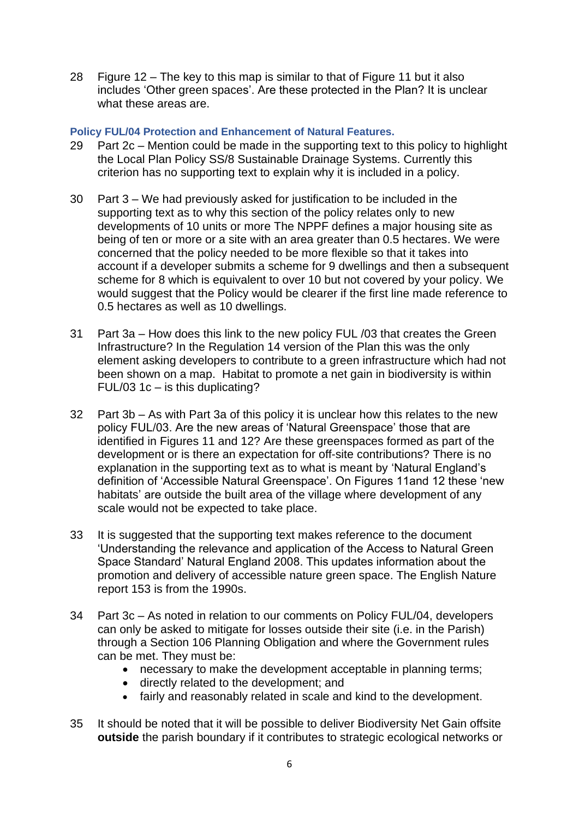28 Figure 12 – The key to this map is similar to that of Figure 11 but it also includes 'Other green spaces'. Are these protected in the Plan? It is unclear what these areas are.

#### **Policy FUL/04 Protection and Enhancement of Natural Features.**

- 29 Part 2c Mention could be made in the supporting text to this policy to highlight the Local Plan Policy SS/8 Sustainable Drainage Systems. Currently this criterion has no supporting text to explain why it is included in a policy.
- 30 Part 3 We had previously asked for justification to be included in the supporting text as to why this section of the policy relates only to new developments of 10 units or more The NPPF defines a major housing site as being of ten or more or a site with an area greater than 0.5 hectares. We were concerned that the policy needed to be more flexible so that it takes into account if a developer submits a scheme for 9 dwellings and then a subsequent scheme for 8 which is equivalent to over 10 but not covered by your policy. We would suggest that the Policy would be clearer if the first line made reference to 0.5 hectares as well as 10 dwellings.
- 31 Part 3a How does this link to the new policy FUL /03 that creates the Green Infrastructure? In the Regulation 14 version of the Plan this was the only element asking developers to contribute to a green infrastructure which had not been shown on a map. Habitat to promote a net gain in biodiversity is within FUL/03 1c – is this duplicating?
- 32 Part 3b As with Part 3a of this policy it is unclear how this relates to the new policy FUL/03. Are the new areas of 'Natural Greenspace' those that are identified in Figures 11 and 12? Are these greenspaces formed as part of the development or is there an expectation for off-site contributions? There is no explanation in the supporting text as to what is meant by 'Natural England's definition of 'Accessible Natural Greenspace'. On Figures 11and 12 these 'new habitats' are outside the built area of the village where development of any scale would not be expected to take place.
- 33 It is suggested that the supporting text makes reference to the document 'Understanding the relevance and application of the Access to Natural Green Space Standard' Natural England 2008. This updates information about the promotion and delivery of accessible nature green space. The English Nature report 153 is from the 1990s.
- 34 Part 3c As noted in relation to our comments on Policy FUL/04, developers can only be asked to mitigate for losses outside their site (i.e. in the Parish) through a Section 106 Planning Obligation and where the Government rules can be met. They must be:
	- necessary to make the development acceptable in planning terms;
	- directly related to the development; and
	- fairly and reasonably related in scale and kind to the development.
- 35 It should be noted that it will be possible to deliver Biodiversity Net Gain offsite **outside** the parish boundary if it contributes to strategic ecological networks or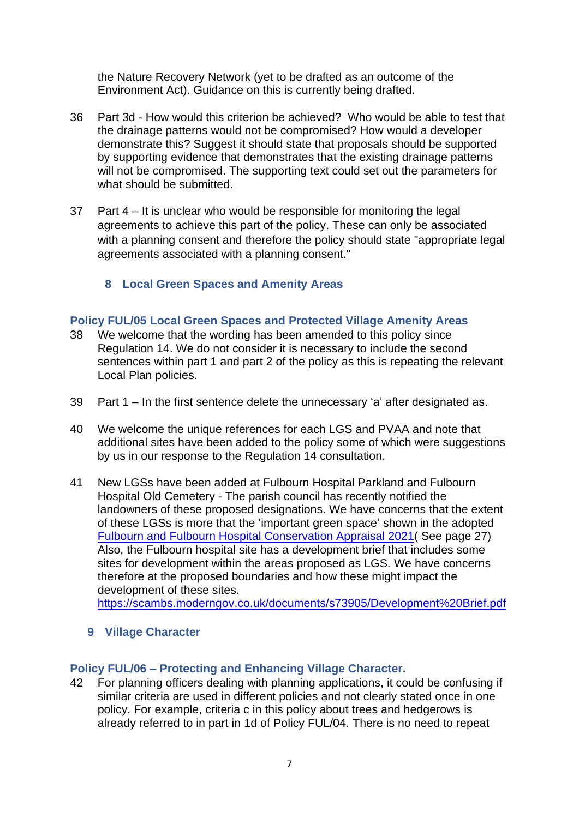the Nature Recovery Network (yet to be drafted as an outcome of the Environment Act). Guidance on this is currently being drafted.

- 36 Part 3d How would this criterion be achieved? Who would be able to test that the drainage patterns would not be compromised? How would a developer demonstrate this? Suggest it should state that proposals should be supported by supporting evidence that demonstrates that the existing drainage patterns will not be compromised. The supporting text could set out the parameters for what should be submitted.
- 37 Part 4 It is unclear who would be responsible for monitoring the legal agreements to achieve this part of the policy. These can only be associated with a planning consent and therefore the policy should state "appropriate legal agreements associated with a planning consent."
	- **8 Local Green Spaces and Amenity Areas**

## **Policy FUL/05 Local Green Spaces and Protected Village Amenity Areas**

- 38 We welcome that the wording has been amended to this policy since Regulation 14. We do not consider it is necessary to include the second sentences within part 1 and part 2 of the policy as this is repeating the relevant Local Plan policies.
- 39 Part 1 In the first sentence delete the unnecessary 'a' after designated as.
- 40 We welcome the unique references for each LGS and PVAA and note that additional sites have been added to the policy some of which were suggestions by us in our response to the Regulation 14 consultation.
- 41 New LGSs have been added at Fulbourn Hospital Parkland and Fulbourn Hospital Old Cemetery - The parish council has recently notified the landowners of these proposed designations. We have concerns that the extent of these LGSs is more that the 'important green space' shown in the adopted [Fulbourn and Fulbourn Hospital Conservation Appraisal 2021\(](https://www.greatercambridgeplanning.org/media/2337/adopted-fulbourn-and-fulbourn-hospital-conservation-area-appraisal-2021_.pdf) See page 27) Also, the Fulbourn hospital site has a development brief that includes some sites for development within the areas proposed as LGS. We have concerns therefore at the proposed boundaries and how these might impact the development of these sites.

<https://scambs.moderngov.co.uk/documents/s73905/Development%20Brief.pdf>

**9 Village Character** 

#### **Policy FUL/06 – Protecting and Enhancing Village Character.**

42 For planning officers dealing with planning applications, it could be confusing if similar criteria are used in different policies and not clearly stated once in one policy. For example, criteria c in this policy about trees and hedgerows is already referred to in part in 1d of Policy FUL/04. There is no need to repeat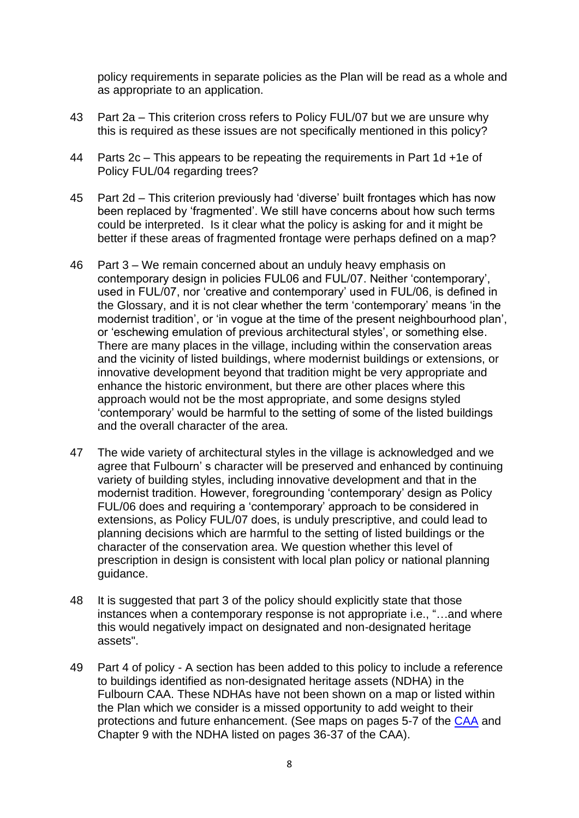policy requirements in separate policies as the Plan will be read as a whole and as appropriate to an application.

- 43 Part 2a This criterion cross refers to Policy FUL/07 but we are unsure why this is required as these issues are not specifically mentioned in this policy?
- 44 Parts 2c This appears to be repeating the requirements in Part 1d +1e of Policy FUL/04 regarding trees?
- 45 Part 2d This criterion previously had 'diverse' built frontages which has now been replaced by 'fragmented'. We still have concerns about how such terms could be interpreted. Is it clear what the policy is asking for and it might be better if these areas of fragmented frontage were perhaps defined on a map?
- 46 Part 3 We remain concerned about an unduly heavy emphasis on contemporary design in policies FUL06 and FUL/07. Neither 'contemporary', used in FUL/07, nor 'creative and contemporary' used in FUL/06, is defined in the Glossary, and it is not clear whether the term 'contemporary' means 'in the modernist tradition', or 'in vogue at the time of the present neighbourhood plan', or 'eschewing emulation of previous architectural styles', or something else. There are many places in the village, including within the conservation areas and the vicinity of listed buildings, where modernist buildings or extensions, or innovative development beyond that tradition might be very appropriate and enhance the historic environment, but there are other places where this approach would not be the most appropriate, and some designs styled 'contemporary' would be harmful to the setting of some of the listed buildings and the overall character of the area.
- 47 The wide variety of architectural styles in the village is acknowledged and we agree that Fulbourn' s character will be preserved and enhanced by continuing variety of building styles, including innovative development and that in the modernist tradition. However, foregrounding 'contemporary' design as Policy FUL/06 does and requiring a 'contemporary' approach to be considered in extensions, as Policy FUL/07 does, is unduly prescriptive, and could lead to planning decisions which are harmful to the setting of listed buildings or the character of the conservation area. We question whether this level of prescription in design is consistent with local plan policy or national planning guidance.
- 48 It is suggested that part 3 of the policy should explicitly state that those instances when a contemporary response is not appropriate i.e., "…and where this would negatively impact on designated and non-designated heritage assets".
- 49 Part 4 of policy A section has been added to this policy to include a reference to buildings identified as non-designated heritage assets (NDHA) in the Fulbourn CAA. These NDHAs have not been shown on a map or listed within the Plan which we consider is a missed opportunity to add weight to their protections and future enhancement. (See maps on pages 5-7 of the [CAA](https://www.greatercambridgeplanning.org/media/2337/adopted-fulbourn-and-fulbourn-hospital-conservation-area-appraisal-2021_.pdf) and Chapter 9 with the NDHA listed on pages 36-37 of the CAA).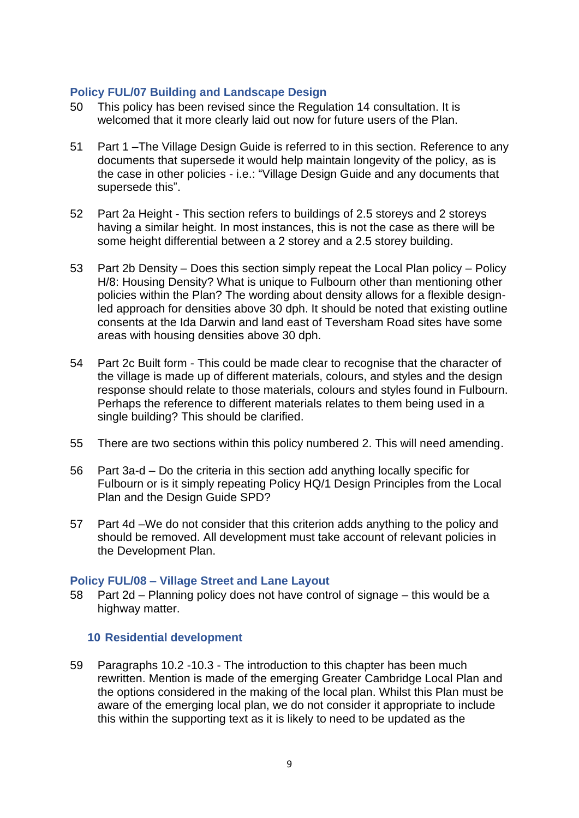#### **Policy FUL/07 Building and Landscape Design**

- 50 This policy has been revised since the Regulation 14 consultation. It is welcomed that it more clearly laid out now for future users of the Plan.
- 51 Part 1 –The Village Design Guide is referred to in this section. Reference to any documents that supersede it would help maintain longevity of the policy, as is the case in other policies - i.e.: "Village Design Guide and any documents that supersede this".
- 52 Part 2a Height This section refers to buildings of 2.5 storeys and 2 storeys having a similar height. In most instances, this is not the case as there will be some height differential between a 2 storey and a 2.5 storey building.
- 53 Part 2b Density Does this section simply repeat the Local Plan policy Policy H/8: Housing Density? What is unique to Fulbourn other than mentioning other policies within the Plan? The wording about density allows for a flexible designled approach for densities above 30 dph. It should be noted that existing outline consents at the Ida Darwin and land east of Teversham Road sites have some areas with housing densities above 30 dph.
- 54 Part 2c Built form This could be made clear to recognise that the character of the village is made up of different materials, colours, and styles and the design response should relate to those materials, colours and styles found in Fulbourn. Perhaps the reference to different materials relates to them being used in a single building? This should be clarified.
- 55 There are two sections within this policy numbered 2. This will need amending.
- 56 Part 3a-d Do the criteria in this section add anything locally specific for Fulbourn or is it simply repeating Policy HQ/1 Design Principles from the Local Plan and the Design Guide SPD?
- 57 Part 4d –We do not consider that this criterion adds anything to the policy and should be removed. All development must take account of relevant policies in the Development Plan.

#### **Policy FUL/08 – Village Street and Lane Layout**

58 Part 2d – Planning policy does not have control of signage – this would be a highway matter.

#### **10 Residential development**

59 Paragraphs 10.2 -10.3 - The introduction to this chapter has been much rewritten. Mention is made of the emerging Greater Cambridge Local Plan and the options considered in the making of the local plan. Whilst this Plan must be aware of the emerging local plan, we do not consider it appropriate to include this within the supporting text as it is likely to need to be updated as the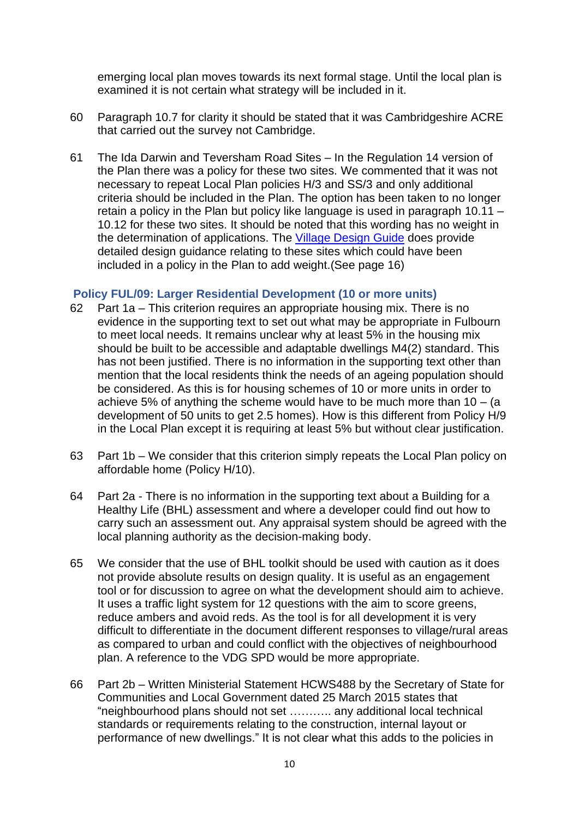emerging local plan moves towards its next formal stage. Until the local plan is examined it is not certain what strategy will be included in it.

- 60 Paragraph 10.7 for clarity it should be stated that it was Cambridgeshire ACRE that carried out the survey not Cambridge.
- 61 The Ida Darwin and Teversham Road Sites In the Regulation 14 version of the Plan there was a policy for these two sites. We commented that it was not necessary to repeat Local Plan policies H/3 and SS/3 and only additional criteria should be included in the Plan. The option has been taken to no longer retain a policy in the Plan but policy like language is used in paragraph 10.11 – 10.12 for these two sites. It should be noted that this wording has no weight in the determination of applications. The [Village Design Guide](https://www.scambs.gov.uk/media/18112/fulbourn-village-design-guide-supplementary-planning-document-2020.pdf) does provide detailed design guidance relating to these sites which could have been included in a policy in the Plan to add weight.(See page 16)

#### **Policy FUL/09: Larger Residential Development (10 or more units)**

- 62 Part 1a This criterion requires an appropriate housing mix. There is no evidence in the supporting text to set out what may be appropriate in Fulbourn to meet local needs. It remains unclear why at least 5% in the housing mix should be built to be accessible and adaptable dwellings M4(2) standard. This has not been justified. There is no information in the supporting text other than mention that the local residents think the needs of an ageing population should be considered. As this is for housing schemes of 10 or more units in order to achieve 5% of anything the scheme would have to be much more than  $10 - (a$ development of 50 units to get 2.5 homes). How is this different from Policy H/9 in the Local Plan except it is requiring at least 5% but without clear justification.
- 63 Part 1b We consider that this criterion simply repeats the Local Plan policy on affordable home (Policy H/10).
- 64 Part 2a There is no information in the supporting text about a Building for a Healthy Life (BHL) assessment and where a developer could find out how to carry such an assessment out. Any appraisal system should be agreed with the local planning authority as the decision-making body.
- 65 We consider that the use of BHL toolkit should be used with caution as it does not provide absolute results on design quality. It is useful as an engagement tool or for discussion to agree on what the development should aim to achieve. It uses a traffic light system for 12 questions with the aim to score greens, reduce ambers and avoid reds. As the tool is for all development it is very difficult to differentiate in the document different responses to village/rural areas as compared to urban and could conflict with the objectives of neighbourhood plan. A reference to the VDG SPD would be more appropriate.
- 66 Part 2b Written Ministerial Statement HCWS488 by the Secretary of State for Communities and Local Government dated 25 March 2015 states that "neighbourhood plans should not set ……….. any additional local technical standards or requirements relating to the construction, internal layout or performance of new dwellings." It is not clear what this adds to the policies in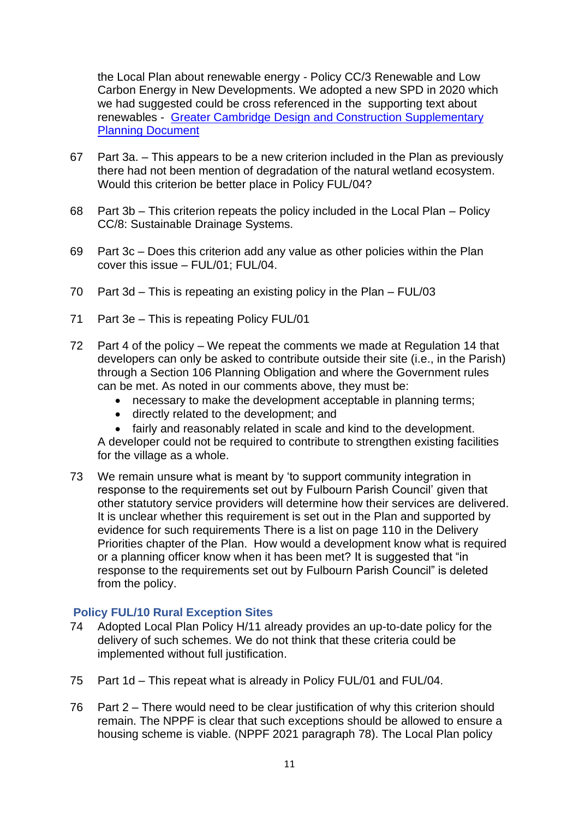the Local Plan about renewable energy - Policy CC/3 Renewable and Low Carbon Energy in New Developments. We adopted a new SPD in 2020 which we had suggested could be cross referenced in the supporting text about renewables - [Greater Cambridge Design and Construction Supplementary](https://www.scambs.gov.uk/planning/local-plan-and-neighbourhood-planning/greater-cambridge-sustainable-design-and-construction-supplementary-planning-document-spd/)  [Planning Document](https://www.scambs.gov.uk/planning/local-plan-and-neighbourhood-planning/greater-cambridge-sustainable-design-and-construction-supplementary-planning-document-spd/)

- 67 Part 3a. This appears to be a new criterion included in the Plan as previously there had not been mention of degradation of the natural wetland ecosystem. Would this criterion be better place in Policy FUL/04?
- 68 Part 3b This criterion repeats the policy included in the Local Plan Policy CC/8: Sustainable Drainage Systems.
- 69 Part 3c Does this criterion add any value as other policies within the Plan cover this issue – FUL/01; FUL/04.
- 70 Part 3d This is repeating an existing policy in the Plan FUL/03
- 71 Part 3e This is repeating Policy FUL/01
- 72 Part 4 of the policy We repeat the comments we made at Regulation 14 that developers can only be asked to contribute outside their site (i.e., in the Parish) through a Section 106 Planning Obligation and where the Government rules can be met. As noted in our comments above, they must be:
	- necessary to make the development acceptable in planning terms;
	- directly related to the development; and
	- fairly and reasonably related in scale and kind to the development.

A developer could not be required to contribute to strengthen existing facilities for the village as a whole.

73 We remain unsure what is meant by 'to support community integration in response to the requirements set out by Fulbourn Parish Council' given that other statutory service providers will determine how their services are delivered. It is unclear whether this requirement is set out in the Plan and supported by evidence for such requirements There is a list on page 110 in the Delivery Priorities chapter of the Plan. How would a development know what is required or a planning officer know when it has been met? It is suggested that "in response to the requirements set out by Fulbourn Parish Council" is deleted from the policy.

#### **Policy FUL/10 Rural Exception Sites**

- 74 Adopted Local Plan Policy H/11 already provides an up-to-date policy for the delivery of such schemes. We do not think that these criteria could be implemented without full justification.
- 75 Part 1d This repeat what is already in Policy FUL/01 and FUL/04.
- 76 Part 2 There would need to be clear justification of why this criterion should remain. The NPPF is clear that such exceptions should be allowed to ensure a housing scheme is viable. (NPPF 2021 paragraph 78). The Local Plan policy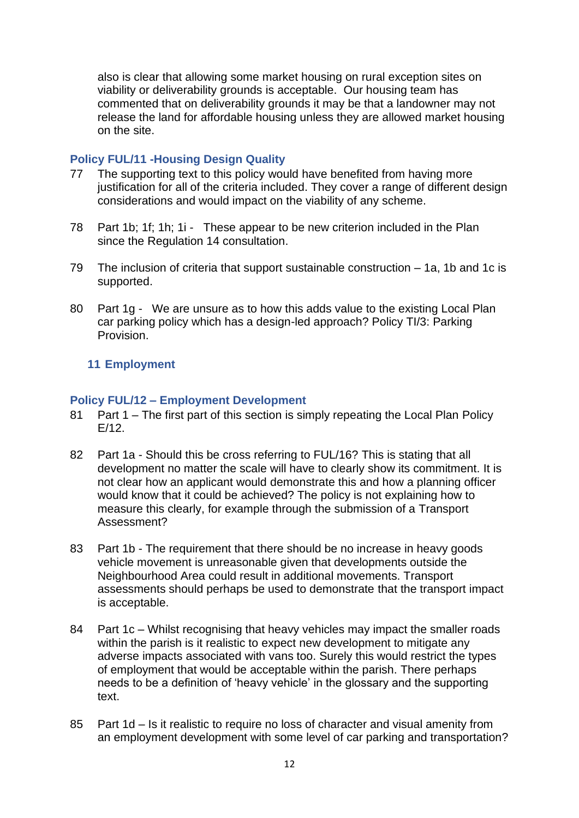also is clear that allowing some market housing on rural exception sites on viability or deliverability grounds is acceptable. Our housing team has commented that on deliverability grounds it may be that a landowner may not release the land for affordable housing unless they are allowed market housing on the site.

## **Policy FUL/11 -Housing Design Quality**

- 77 The supporting text to this policy would have benefited from having more justification for all of the criteria included. They cover a range of different design considerations and would impact on the viability of any scheme.
- 78 Part 1b; 1f; 1h; 1i These appear to be new criterion included in the Plan since the Regulation 14 consultation.
- 79 The inclusion of criteria that support sustainable construction 1a, 1b and 1c is supported.
- 80 Part 1g We are unsure as to how this adds value to the existing Local Plan car parking policy which has a design-led approach? Policy TI/3: Parking Provision.

## **11 Employment**

#### **Policy FUL/12 – Employment Development**

- 81 Part 1 The first part of this section is simply repeating the Local Plan Policy E/12.
- 82 Part 1a Should this be cross referring to FUL/16? This is stating that all development no matter the scale will have to clearly show its commitment. It is not clear how an applicant would demonstrate this and how a planning officer would know that it could be achieved? The policy is not explaining how to measure this clearly, for example through the submission of a Transport Assessment?
- 83 Part 1b The requirement that there should be no increase in heavy goods vehicle movement is unreasonable given that developments outside the Neighbourhood Area could result in additional movements. Transport assessments should perhaps be used to demonstrate that the transport impact is acceptable.
- 84 Part 1c Whilst recognising that heavy vehicles may impact the smaller roads within the parish is it realistic to expect new development to mitigate any adverse impacts associated with vans too. Surely this would restrict the types of employment that would be acceptable within the parish. There perhaps needs to be a definition of 'heavy vehicle' in the glossary and the supporting text.
- 85 Part 1d Is it realistic to require no loss of character and visual amenity from an employment development with some level of car parking and transportation?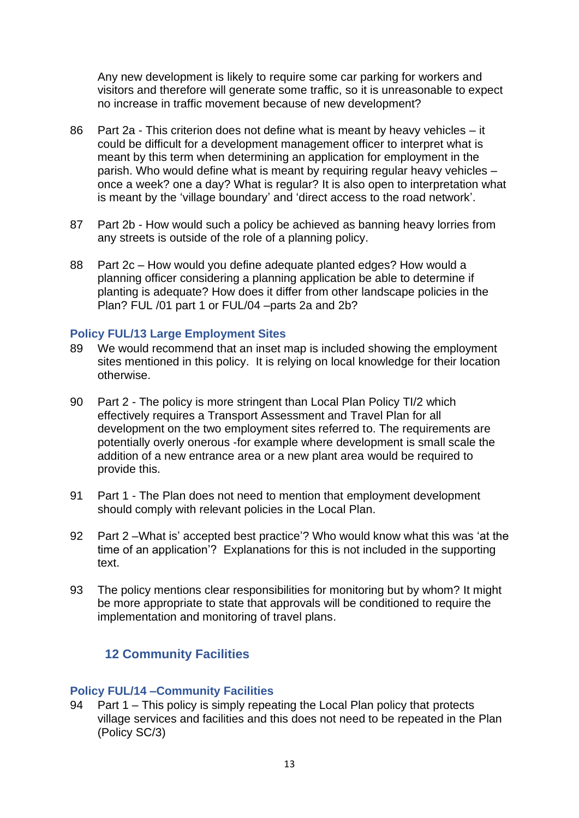Any new development is likely to require some car parking for workers and visitors and therefore will generate some traffic, so it is unreasonable to expect no increase in traffic movement because of new development?

- 86 Part 2a This criterion does not define what is meant by heavy vehicles it could be difficult for a development management officer to interpret what is meant by this term when determining an application for employment in the parish. Who would define what is meant by requiring regular heavy vehicles – once a week? one a day? What is regular? It is also open to interpretation what is meant by the 'village boundary' and 'direct access to the road network'.
- 87 Part 2b How would such a policy be achieved as banning heavy lorries from any streets is outside of the role of a planning policy.
- 88 Part 2c How would you define adequate planted edges? How would a planning officer considering a planning application be able to determine if planting is adequate? How does it differ from other landscape policies in the Plan? FUL /01 part 1 or FUL/04 –parts 2a and 2b?

#### **Policy FUL/13 Large Employment Sites**

- 89 We would recommend that an inset map is included showing the employment sites mentioned in this policy. It is relying on local knowledge for their location otherwise.
- 90 Part 2 The policy is more stringent than Local Plan Policy TI/2 which effectively requires a Transport Assessment and Travel Plan for all development on the two employment sites referred to. The requirements are potentially overly onerous -for example where development is small scale the addition of a new entrance area or a new plant area would be required to provide this.
- 91 Part 1 The Plan does not need to mention that employment development should comply with relevant policies in the Local Plan.
- 92 Part 2 –What is' accepted best practice'? Who would know what this was 'at the time of an application'? Explanations for this is not included in the supporting text
- 93 The policy mentions clear responsibilities for monitoring but by whom? It might be more appropriate to state that approvals will be conditioned to require the implementation and monitoring of travel plans.

## **12 Community Facilities**

#### **Policy FUL/14 –Community Facilities**

94 Part 1 – This policy is simply repeating the Local Plan policy that protects village services and facilities and this does not need to be repeated in the Plan (Policy SC/3)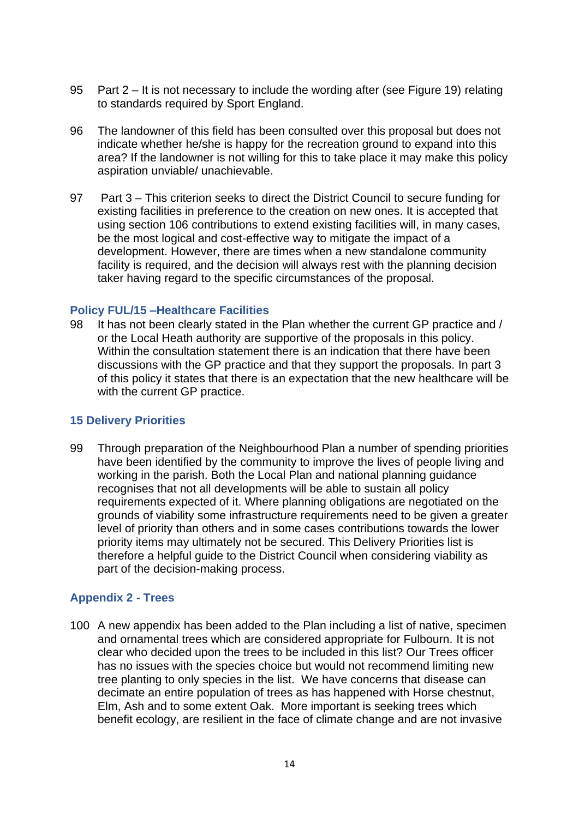- 95 Part 2 It is not necessary to include the wording after (see Figure 19) relating to standards required by Sport England.
- 96 The landowner of this field has been consulted over this proposal but does not indicate whether he/she is happy for the recreation ground to expand into this area? If the landowner is not willing for this to take place it may make this policy aspiration unviable/ unachievable.
- 97 Part 3 This criterion seeks to direct the District Council to secure funding for existing facilities in preference to the creation on new ones. It is accepted that using section 106 contributions to extend existing facilities will, in many cases, be the most logical and cost-effective way to mitigate the impact of a development. However, there are times when a new standalone community facility is required, and the decision will always rest with the planning decision taker having regard to the specific circumstances of the proposal.

#### **Policy FUL/15 –Healthcare Facilities**

98 It has not been clearly stated in the Plan whether the current GP practice and / or the Local Heath authority are supportive of the proposals in this policy. Within the consultation statement there is an indication that there have been discussions with the GP practice and that they support the proposals. In part 3 of this policy it states that there is an expectation that the new healthcare will be with the current GP practice.

#### **15 Delivery Priorities**

99 Through preparation of the Neighbourhood Plan a number of spending priorities have been identified by the community to improve the lives of people living and working in the parish. Both the Local Plan and national planning guidance recognises that not all developments will be able to sustain all policy requirements expected of it. Where planning obligations are negotiated on the grounds of viability some infrastructure requirements need to be given a greater level of priority than others and in some cases contributions towards the lower priority items may ultimately not be secured. This Delivery Priorities list is therefore a helpful guide to the District Council when considering viability as part of the decision-making process.

#### **Appendix 2 - Trees**

100 A new appendix has been added to the Plan including a list of native, specimen and ornamental trees which are considered appropriate for Fulbourn. It is not clear who decided upon the trees to be included in this list? Our Trees officer has no issues with the species choice but would not recommend limiting new tree planting to only species in the list. We have concerns that disease can decimate an entire population of trees as has happened with Horse chestnut, Elm, Ash and to some extent Oak. More important is seeking trees which benefit ecology, are resilient in the face of climate change and are not invasive